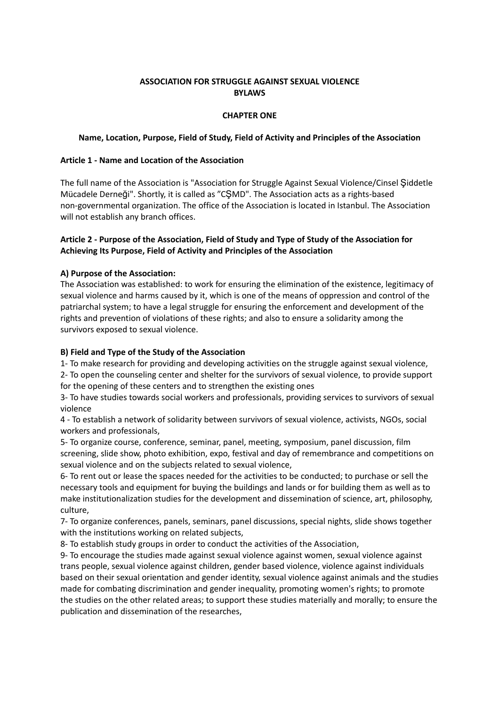## **ASSOCIATION FOR STRUGGLE AGAINST SEXUAL VIOLENCE BYLAWS**

## **CHAPTER ONE**

#### **Name, Location, Purpose, Field of Study, Field of Activity and Principles of the Association**

### **Article 1 - Name and Location of the Association**

The full name of the Association is "Association for Struggle Against Sexual Violence/Cinsel Şiddetle Mücadele Derneği". Shortly, it is called as "CŞMD". The Association acts as a rights-based non-governmental organization. The office of the Association is located in Istanbul. The Association will not establish any branch offices.

# **Article 2 - Purpose of the Association, Field of Study and Type of Study of the Association for Achieving Its Purpose, Field of Activity and Principles of the Association**

## **A) Purpose of the Association:**

The Association was established: to work for ensuring the elimination of the existence, legitimacy of sexual violence and harms caused by it, which is one of the means of oppression and control of the patriarchal system; to have a legal struggle for ensuring the enforcement and development of the rights and prevention of violations of these rights; and also to ensure a solidarity among the survivors exposed to sexual violence.

## **B) Field and Type of the Study of the Association**

1- To make research for providing and developing activities on the struggle against sexual violence,

2- To open the counseling center and shelter for the survivors of sexual violence, to provide support for the opening of these centers and to strengthen the existing ones

3- To have studies towards social workers and professionals, providing services to survivors of sexual violence

4 - To establish a network of solidarity between survivors of sexual violence, activists, NGOs, social workers and professionals,

5- To organize course, conference, seminar, panel, meeting, symposium, panel discussion, film screening, slide show, photo exhibition, expo, festival and day of remembrance and competitions on sexual violence and on the subjects related to sexual violence,

6- To rent out or lease the spaces needed for the activities to be conducted; to purchase or sell the necessary tools and equipment for buying the buildings and lands or for building them as well as to make institutionalization studies for the development and dissemination of science, art, philosophy, culture,

7- To organize conferences, panels, seminars, panel discussions, special nights, slide shows together with the institutions working on related subjects,

8- To establish study groups in order to conduct the activities of the Association,

9- To encourage the studies made against sexual violence against women, sexual violence against trans people, sexual violence against children, gender based violence, violence against individuals based on their sexual orientation and gender identity, sexual violence against animals and the studies made for combating discrimination and gender inequality, promoting women's rights; to promote the studies on the other related areas; to support these studies materially and morally; to ensure the publication and dissemination of the researches,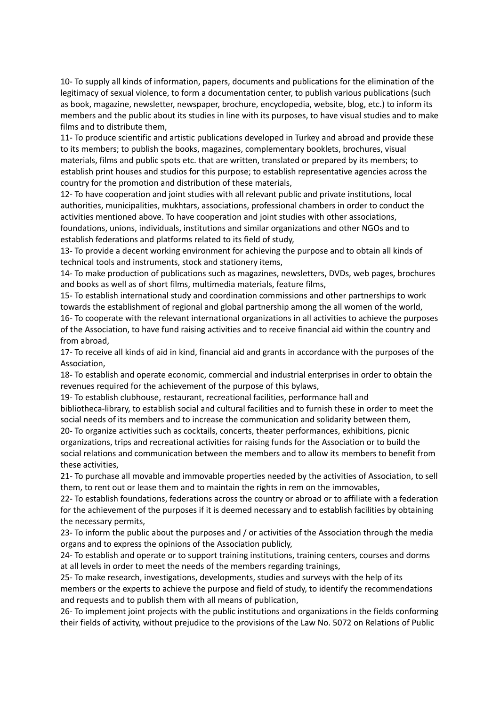10- To supply all kinds of information, papers, documents and publications for the elimination of the legitimacy of sexual violence, to form a documentation center, to publish various publications (such as book, magazine, newsletter, newspaper, brochure, encyclopedia, website, blog, etc.) to inform its members and the public about its studies in line with its purposes, to have visual studies and to make films and to distribute them,

11- To produce scientific and artistic publications developed in Turkey and abroad and provide these to its members; to publish the books, magazines, complementary booklets, brochures, visual materials, films and public spots etc. that are written, translated or prepared by its members; to establish print houses and studios for this purpose; to establish representative agencies across the country for the promotion and distribution of these materials,

12- To have cooperation and joint studies with all relevant public and private institutions, local authorities, municipalities, mukhtars, associations, professional chambers in order to conduct the activities mentioned above. To have cooperation and joint studies with other associations, foundations, unions, individuals, institutions and similar organizations and other NGOs and to establish federations and platforms related to its field of study,

13- To provide a decent working environment for achieving the purpose and to obtain all kinds of technical tools and instruments, stock and stationery items,

14- To make production of publications such as magazines, newsletters, DVDs, web pages, brochures and books as well as of short films, multimedia materials, feature films,

15- To establish international study and coordination commissions and other partnerships to work towards the establishment of regional and global partnership among the all women of the world, 16- To cooperate with the relevant international organizations in all activities to achieve the purposes of the Association, to have fund raising activities and to receive financial aid within the country and from abroad,

17- To receive all kinds of aid in kind, financial aid and grants in accordance with the purposes of the Association,

18- To establish and operate economic, commercial and industrial enterprises in order to obtain the revenues required for the achievement of the purpose of this bylaws,

19- To establish clubhouse, restaurant, recreational facilities, performance hall and bibliotheca-library, to establish social and cultural facilities and to furnish these in order to meet the social needs of its members and to increase the communication and solidarity between them, 20- To organize activities such as cocktails, concerts, theater performances, exhibitions, picnic organizations, trips and recreational activities for raising funds for the Association or to build the social relations and communication between the members and to allow its members to benefit from these activities,

21- To purchase all movable and immovable properties needed by the activities of Association, to sell them, to rent out or lease them and to maintain the rights in rem on the immovables,

22- To establish foundations, federations across the country or abroad or to affiliate with a federation for the achievement of the purposes if it is deemed necessary and to establish facilities by obtaining the necessary permits,

23- To inform the public about the purposes and / or activities of the Association through the media organs and to express the opinions of the Association publicly,

24- To establish and operate or to support training institutions, training centers, courses and dorms at all levels in order to meet the needs of the members regarding trainings,

25- To make research, investigations, developments, studies and surveys with the help of its members or the experts to achieve the purpose and field of study, to identify the recommendations and requests and to publish them with all means of publication,

26- To implement joint projects with the public institutions and organizations in the fields conforming their fields of activity, without prejudice to the provisions of the Law No. 5072 on Relations of Public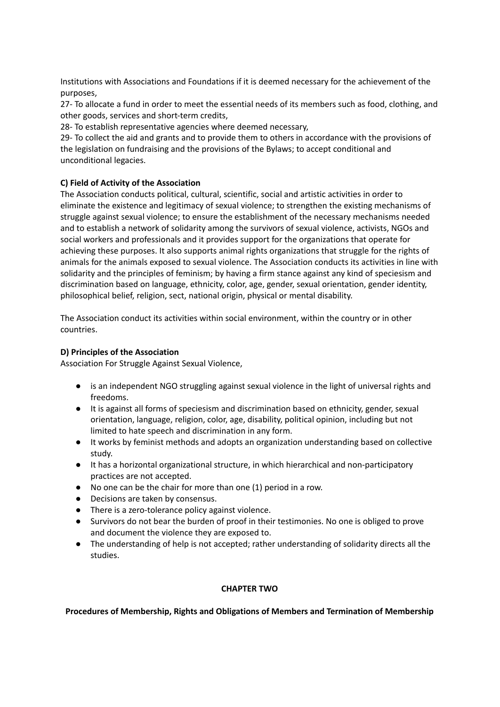Institutions with Associations and Foundations if it is deemed necessary for the achievement of the purposes,

27- To allocate a fund in order to meet the essential needs of its members such as food, clothing, and other goods, services and short-term credits,

28- To establish representative agencies where deemed necessary,

29- To collect the aid and grants and to provide them to others in accordance with the provisions of the legislation on fundraising and the provisions of the Bylaws; to accept conditional and unconditional legacies.

# **C) Field of Activity of the Association**

The Association conducts political, cultural, scientific, social and artistic activities in order to eliminate the existence and legitimacy of sexual violence; to strengthen the existing mechanisms of struggle against sexual violence; to ensure the establishment of the necessary mechanisms needed and to establish a network of solidarity among the survivors of sexual violence, activists, NGOs and social workers and professionals and it provides support for the organizations that operate for achieving these purposes. It also supports animal rights organizations that struggle for the rights of animals for the animals exposed to sexual violence. The Association conducts its activities in line with solidarity and the principles of feminism; by having a firm stance against any kind of speciesism and discrimination based on language, ethnicity, color, age, gender, sexual orientation, gender identity, philosophical belief, religion, sect, national origin, physical or mental disability.

The Association conduct its activities within social environment, within the country or in other countries.

## **D) Principles of the Association**

Association For Struggle Against Sexual Violence,

- is an independent NGO struggling against sexual violence in the light of universal rights and freedoms.
- It is against all forms of speciesism and discrimination based on ethnicity, gender, sexual orientation, language, religion, color, age, disability, political opinion, including but not limited to hate speech and discrimination in any form.
- It works by feminist methods and adopts an organization understanding based on collective study.
- It has a horizontal organizational structure, in which hierarchical and non-participatory practices are not accepted.
- No one can be the chair for more than one (1) period in a row.
- Decisions are taken by consensus.
- There is a zero-tolerance policy against violence.
- Survivors do not bear the burden of proof in their testimonies. No one is obliged to prove and document the violence they are exposed to.
- The understanding of help is not accepted; rather understanding of solidarity directs all the studies.

# **CHAPTER TWO**

# **Procedures of Membership, Rights and Obligations of Members and Termination of Membership**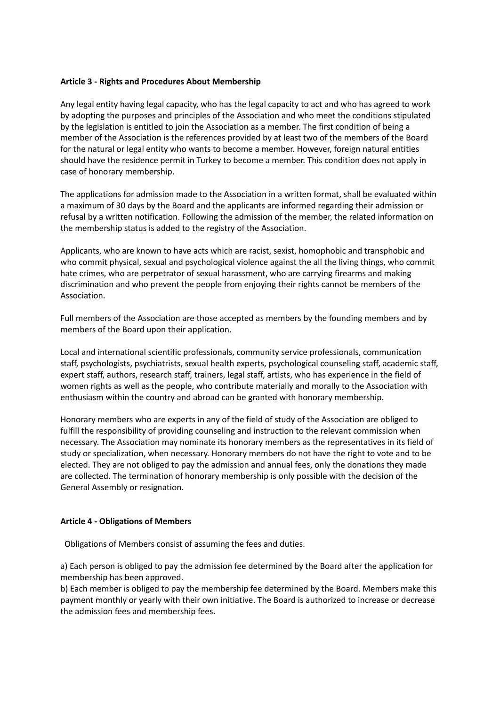### **Article 3 - Rights and Procedures About Membership**

Any legal entity having legal capacity, who has the legal capacity to act and who has agreed to work by adopting the purposes and principles of the Association and who meet the conditions stipulated by the legislation is entitled to join the Association as a member. The first condition of being a member of the Association is the references provided by at least two of the members of the Board for the natural or legal entity who wants to become a member. However, foreign natural entities should have the residence permit in Turkey to become a member. This condition does not apply in case of honorary membership.

The applications for admission made to the Association in a written format, shall be evaluated within a maximum of 30 days by the Board and the applicants are informed regarding their admission or refusal by a written notification. Following the admission of the member, the related information on the membership status is added to the registry of the Association.

Applicants, who are known to have acts which are racist, sexist, homophobic and transphobic and who commit physical, sexual and psychological violence against the all the living things, who commit hate crimes, who are perpetrator of sexual harassment, who are carrying firearms and making discrimination and who prevent the people from enjoying their rights cannot be members of the Association.

Full members of the Association are those accepted as members by the founding members and by members of the Board upon their application.

Local and international scientific professionals, community service professionals, communication staff, psychologists, psychiatrists, sexual health experts, psychological counseling staff, academic staff, expert staff, authors, research staff, trainers, legal staff, artists, who has experience in the field of women rights as well as the people, who contribute materially and morally to the Association with enthusiasm within the country and abroad can be granted with honorary membership.

Honorary members who are experts in any of the field of study of the Association are obliged to fulfill the responsibility of providing counseling and instruction to the relevant commission when necessary. The Association may nominate its honorary members as the representatives in its field of study or specialization, when necessary. Honorary members do not have the right to vote and to be elected. They are not obliged to pay the admission and annual fees, only the donations they made are collected. The termination of honorary membership is only possible with the decision of the General Assembly or resignation.

#### **Article 4 - Obligations of Members**

Obligations of Members consist of assuming the fees and duties.

a) Each person is obliged to pay the admission fee determined by the Board after the application for membership has been approved.

b) Each member is obliged to pay the membership fee determined by the Board. Members make this payment monthly or yearly with their own initiative. The Board is authorized to increase or decrease the admission fees and membership fees.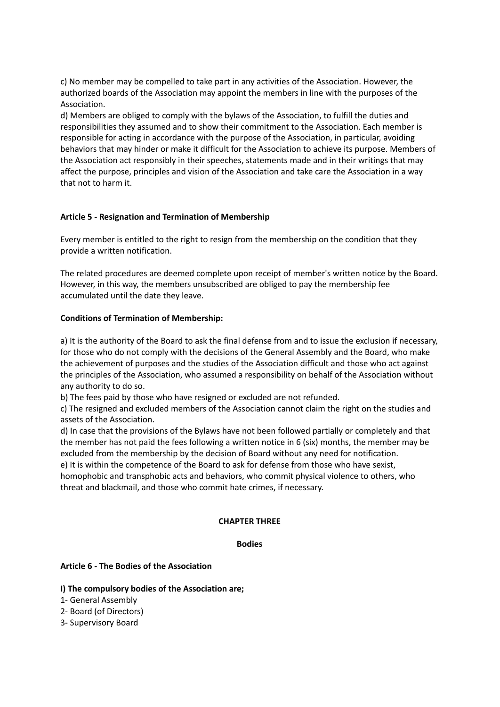c) No member may be compelled to take part in any activities of the Association. However, the authorized boards of the Association may appoint the members in line with the purposes of the Association.

d) Members are obliged to comply with the bylaws of the Association, to fulfill the duties and responsibilities they assumed and to show their commitment to the Association. Each member is responsible for acting in accordance with the purpose of the Association, in particular, avoiding behaviors that may hinder or make it difficult for the Association to achieve its purpose. Members of the Association act responsibly in their speeches, statements made and in their writings that may affect the purpose, principles and vision of the Association and take care the Association in a way that not to harm it.

## **Article 5 - Resignation and Termination of Membership**

Every member is entitled to the right to resign from the membership on the condition that they provide a written notification.

The related procedures are deemed complete upon receipt of member's written notice by the Board. However, in this way, the members unsubscribed are obliged to pay the membership fee accumulated until the date they leave.

#### **Conditions of Termination of Membership:**

a) It is the authority of the Board to ask the final defense from and to issue the exclusion if necessary, for those who do not comply with the decisions of the General Assembly and the Board, who make the achievement of purposes and the studies of the Association difficult and those who act against the principles of the Association, who assumed a responsibility on behalf of the Association without any authority to do so.

b) The fees paid by those who have resigned or excluded are not refunded.

c) The resigned and excluded members of the Association cannot claim the right on the studies and assets of the Association.

d) In case that the provisions of the Bylaws have not been followed partially or completely and that the member has not paid the fees following a written notice in 6 (six) months, the member may be excluded from the membership by the decision of Board without any need for notification.

e) It is within the competence of the Board to ask for defense from those who have sexist, homophobic and transphobic acts and behaviors, who commit physical violence to others, who threat and blackmail, and those who commit hate crimes, if necessary.

#### **CHAPTER THREE**

#### **Bodies**

#### **Article 6 - The Bodies of the Association**

- **I) The compulsory bodies of the Association are;**
- 1- General Assembly
- 2- Board (of Directors)
- 3- Supervisory Board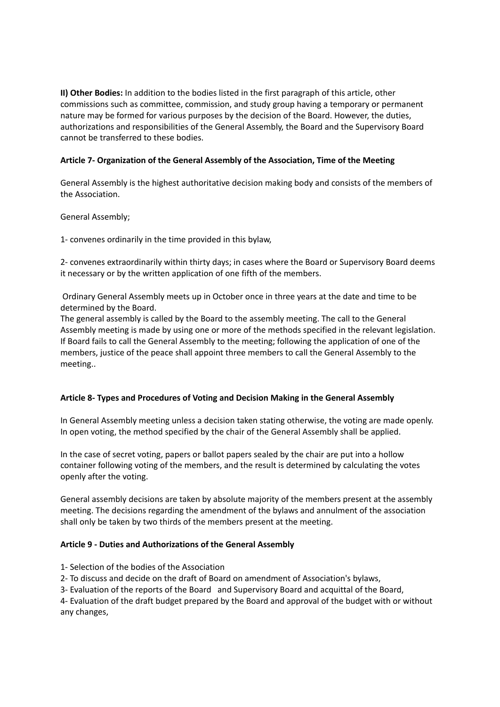**II) Other Bodies:** In addition to the bodies listed in the first paragraph of this article, other commissions such as committee, commission, and study group having a temporary or permanent nature may be formed for various purposes by the decision of the Board. However, the duties, authorizations and responsibilities of the General Assembly, the Board and the Supervisory Board cannot be transferred to these bodies.

# **Article 7- Organization of the General Assembly of the Association, Time of the Meeting**

General Assembly is the highest authoritative decision making body and consists of the members of the Association.

General Assembly;

1- convenes ordinarily in the time provided in this bylaw,

2- convenes extraordinarily within thirty days; in cases where the Board or Supervisory Board deems it necessary or by the written application of one fifth of the members.

Ordinary General Assembly meets up in October once in three years at the date and time to be determined by the Board.

The general assembly is called by the Board to the assembly meeting. The call to the General Assembly meeting is made by using one or more of the methods specified in the relevant legislation. If Board fails to call the General Assembly to the meeting; following the application of one of the members, justice of the peace shall appoint three members to call the General Assembly to the meeting..

# **Article 8- Types and Procedures of Voting and Decision Making in the General Assembly**

In General Assembly meeting unless a decision taken stating otherwise, the voting are made openly. In open voting, the method specified by the chair of the General Assembly shall be applied.

In the case of secret voting, papers or ballot papers sealed by the chair are put into a hollow container following voting of the members, and the result is determined by calculating the votes openly after the voting.

General assembly decisions are taken by absolute majority of the members present at the assembly meeting. The decisions regarding the amendment of the bylaws and annulment of the association shall only be taken by two thirds of the members present at the meeting.

#### **Article 9 - Duties and Authorizations of the General Assembly**

- 1- Selection of the bodies of the Association
- 2- To discuss and decide on the draft of Board on amendment of Association's bylaws,
- 3- Evaluation of the reports of the Board and Supervisory Board and acquittal of the Board,

4- Evaluation of the draft budget prepared by the Board and approval of the budget with or without any changes,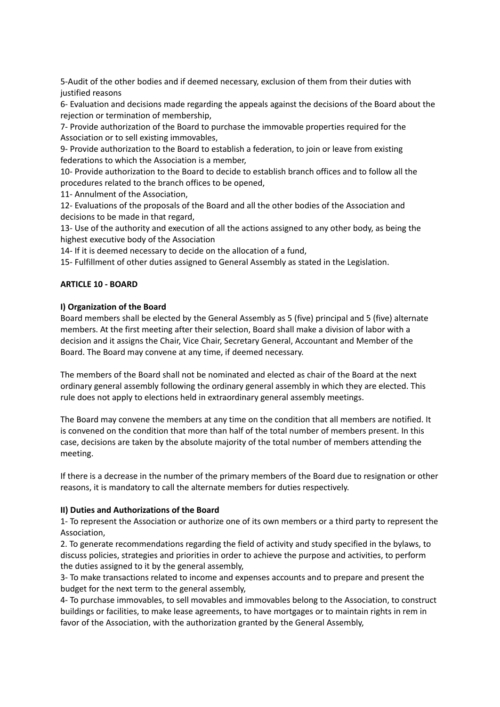5-Audit of the other bodies and if deemed necessary, exclusion of them from their duties with justified reasons

6- Evaluation and decisions made regarding the appeals against the decisions of the Board about the rejection or termination of membership,

7- Provide authorization of the Board to purchase the immovable properties required for the Association or to sell existing immovables,

9- Provide authorization to the Board to establish a federation, to join or leave from existing federations to which the Association is a member,

10- Provide authorization to the Board to decide to establish branch offices and to follow all the procedures related to the branch offices to be opened,

11- Annulment of the Association,

12- Evaluations of the proposals of the Board and all the other bodies of the Association and decisions to be made in that regard,

13- Use of the authority and execution of all the actions assigned to any other body, as being the highest executive body of the Association

14- If it is deemed necessary to decide on the allocation of a fund,

15- Fulfillment of other duties assigned to General Assembly as stated in the Legislation.

## **ARTICLE 10 - BOARD**

#### **I) Organization of the Board**

Board members shall be elected by the General Assembly as 5 (five) principal and 5 (five) alternate members. At the first meeting after their selection, Board shall make a division of labor with a decision and it assigns the Chair, Vice Chair, Secretary General, Accountant and Member of the Board. The Board may convene at any time, if deemed necessary.

The members of the Board shall not be nominated and elected as chair of the Board at the next ordinary general assembly following the ordinary general assembly in which they are elected. This rule does not apply to elections held in extraordinary general assembly meetings.

The Board may convene the members at any time on the condition that all members are notified. It is convened on the condition that more than half of the total number of members present. In this case, decisions are taken by the absolute majority of the total number of members attending the meeting.

If there is a decrease in the number of the primary members of the Board due to resignation or other reasons, it is mandatory to call the alternate members for duties respectively.

#### **II) Duties and Authorizations of the Board**

1- To represent the Association or authorize one of its own members or a third party to represent the Association,

2. To generate recommendations regarding the field of activity and study specified in the bylaws, to discuss policies, strategies and priorities in order to achieve the purpose and activities, to perform the duties assigned to it by the general assembly,

3- To make transactions related to income and expenses accounts and to prepare and present the budget for the next term to the general assembly,

4- To purchase immovables, to sell movables and immovables belong to the Association, to construct buildings or facilities, to make lease agreements, to have mortgages or to maintain rights in rem in favor of the Association, with the authorization granted by the General Assembly,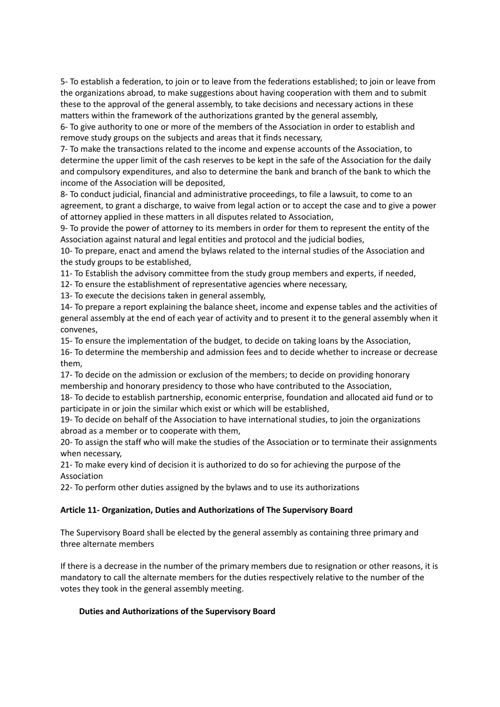5- To establish a federation, to join or to leave from the federations established; to join or leave from the organizations abroad, to make suggestions about having cooperation with them and to submit these to the approval of the general assembly, to take decisions and necessary actions in these matters within the framework of the authorizations granted by the general assembly,

6- To give authority to one or more of the members of the Association in order to establish and remove study groups on the subjects and areas that it finds necessary,

7- To make the transactions related to the income and expense accounts of the Association, to determine the upper limit of the cash reserves to be kept in the safe of the Association for the daily and compulsory expenditures, and also to determine the bank and branch of the bank to which the income of the Association will be deposited,

8- To conduct judicial, financial and administrative proceedings, to file a lawsuit, to come to an agreement, to grant a discharge, to waive from legal action or to accept the case and to give a power of attorney applied in these matters in all disputes related to Association,

9- To provide the power of attorney to its members in order for them to represent the entity of the Association against natural and legal entities and protocol and the judicial bodies,

10- To prepare, enact and amend the bylaws related to the internal studies of the Association and the study groups to be established,

11- To Establish the advisory committee from the study group members and experts, if needed,

12- To ensure the establishment of representative agencies where necessary,

13- To execute the decisions taken in general assembly,

14- To prepare a report explaining the balance sheet, income and expense tables and the activities of general assembly at the end of each year of activity and to present it to the general assembly when it convenes,

15- To ensure the implementation of the budget, to decide on taking loans by the Association,

16- To determine the membership and admission fees and to decide whether to increase or decrease them,

17- To decide on the admission or exclusion of the members; to decide on providing honorary membership and honorary presidency to those who have contributed to the Association,

18- To decide to establish partnership, economic enterprise, foundation and allocated aid fund or to participate in or join the similar which exist or which will be established,

19- To decide on behalf of the Association to have international studies, to join the organizations abroad as a member or to cooperate with them,

20- To assign the staff who will make the studies of the Association or to terminate their assignments when necessary,

21- To make every kind of decision it is authorized to do so for achieving the purpose of the Association

22- To perform other duties assigned by the bylaws and to use its authorizations

# **Article 11- Organization, Duties and Authorizations of The Supervisory Board**

The Supervisory Board shall be elected by the general assembly as containing three primary and three alternate members

If there is a decrease in the number of the primary members due to resignation or other reasons, it is mandatory to call the alternate members for the duties respectively relative to the number of the votes they took in the general assembly meeting.

# **Duties and Authorizations of the Supervisory Board**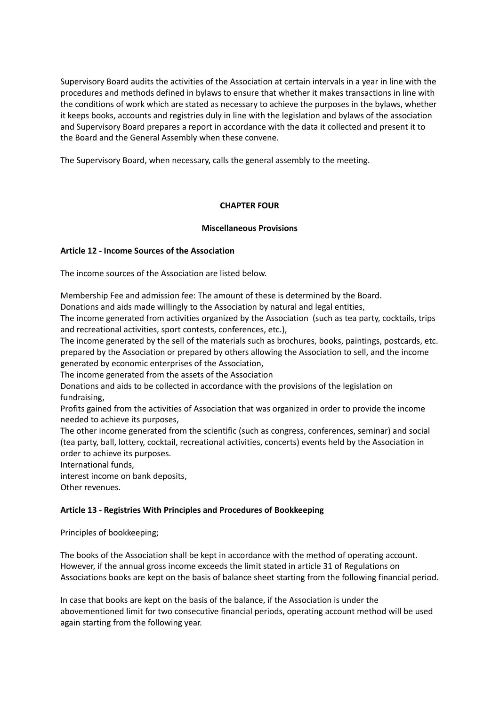Supervisory Board audits the activities of the Association at certain intervals in a year in line with the procedures and methods defined in bylaws to ensure that whether it makes transactions in line with the conditions of work which are stated as necessary to achieve the purposes in the bylaws, whether it keeps books, accounts and registries duly in line with the legislation and bylaws of the association and Supervisory Board prepares a report in accordance with the data it collected and present it to the Board and the General Assembly when these convene.

The Supervisory Board, when necessary, calls the general assembly to the meeting.

## **CHAPTER FOUR**

## **Miscellaneous Provisions**

## **Article 12 - Income Sources of the Association**

The income sources of the Association are listed below.

Membership Fee and admission fee: The amount of these is determined by the Board. Donations and aids made willingly to the Association by natural and legal entities,

The income generated from activities organized by the Association (such as tea party, cocktails, trips and recreational activities, sport contests, conferences, etc.),

The income generated by the sell of the materials such as brochures, books, paintings, postcards, etc. prepared by the Association or prepared by others allowing the Association to sell, and the income generated by economic enterprises of the Association,

The income generated from the assets of the Association

Donations and aids to be collected in accordance with the provisions of the legislation on fundraising,

Profits gained from the activities of Association that was organized in order to provide the income needed to achieve its purposes,

The other income generated from the scientific (such as congress, conferences, seminar) and social (tea party, ball, lottery, cocktail, recreational activities, concerts) events held by the Association in order to achieve its purposes.

International funds,

interest income on bank deposits,

Other revenues.

# **Article 13 - Registries With Principles and Procedures of Bookkeeping**

Principles of bookkeeping;

The books of the Association shall be kept in accordance with the method of operating account. However, if the annual gross income exceeds the limit stated in article 31 of Regulations on Associations books are kept on the basis of balance sheet starting from the following financial period.

In case that books are kept on the basis of the balance, if the Association is under the abovementioned limit for two consecutive financial periods, operating account method will be used again starting from the following year.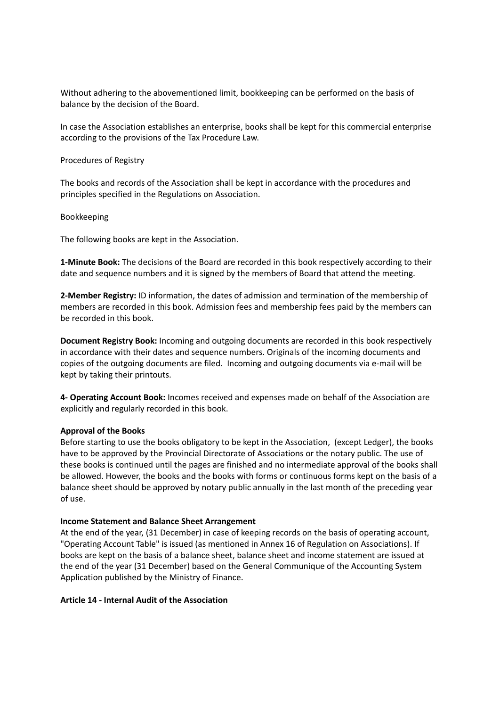Without adhering to the abovementioned limit, bookkeeping can be performed on the basis of balance by the decision of the Board.

In case the Association establishes an enterprise, books shall be kept for this commercial enterprise according to the provisions of the Tax Procedure Law.

Procedures of Registry

The books and records of the Association shall be kept in accordance with the procedures and principles specified in the Regulations on Association.

Bookkeeping

The following books are kept in the Association.

**1-Minute Book:** The decisions of the Board are recorded in this book respectively according to their date and sequence numbers and it is signed by the members of Board that attend the meeting.

**2-Member Registry:** ID information, the dates of admission and termination of the membership of members are recorded in this book. Admission fees and membership fees paid by the members can be recorded in this book.

**Document Registry Book:** Incoming and outgoing documents are recorded in this book respectively in accordance with their dates and sequence numbers. Originals of the incoming documents and copies of the outgoing documents are filed. Incoming and outgoing documents via e-mail will be kept by taking their printouts.

**4- Operating Account Book:** Incomes received and expenses made on behalf of the Association are explicitly and regularly recorded in this book.

#### **Approval of the Books**

Before starting to use the books obligatory to be kept in the Association, (except Ledger), the books have to be approved by the Provincial Directorate of Associations or the notary public. The use of these books is continued until the pages are finished and no intermediate approval of the books shall be allowed. However, the books and the books with forms or continuous forms kept on the basis of a balance sheet should be approved by notary public annually in the last month of the preceding year of use.

#### **Income Statement and Balance Sheet Arrangement**

At the end of the year, (31 December) in case of keeping records on the basis of operating account, "Operating Account Table" is issued (as mentioned in Annex 16 of Regulation on Associations). If books are kept on the basis of a balance sheet, balance sheet and income statement are issued at the end of the year (31 December) based on the General Communique of the Accounting System Application published by the Ministry of Finance.

#### **Article 14 - Internal Audit of the Association**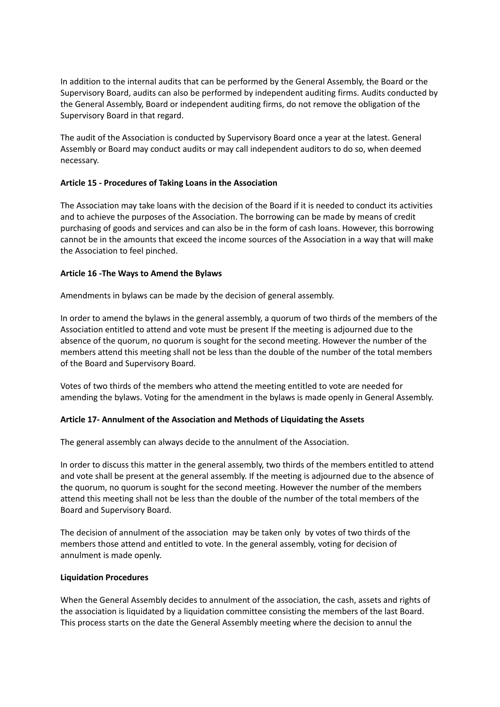In addition to the internal audits that can be performed by the General Assembly, the Board or the Supervisory Board, audits can also be performed by independent auditing firms. Audits conducted by the General Assembly, Board or independent auditing firms, do not remove the obligation of the Supervisory Board in that regard.

The audit of the Association is conducted by Supervisory Board once a year at the latest. General Assembly or Board may conduct audits or may call independent auditors to do so, when deemed necessary.

## **Article 15 - Procedures of Taking Loans in the Association**

The Association may take loans with the decision of the Board if it is needed to conduct its activities and to achieve the purposes of the Association. The borrowing can be made by means of credit purchasing of goods and services and can also be in the form of cash loans. However, this borrowing cannot be in the amounts that exceed the income sources of the Association in a way that will make the Association to feel pinched.

#### **Article 16 -The Ways to Amend the Bylaws**

Amendments in bylaws can be made by the decision of general assembly.

In order to amend the bylaws in the general assembly, a quorum of two thirds of the members of the Association entitled to attend and vote must be present If the meeting is adjourned due to the absence of the quorum, no quorum is sought for the second meeting. However the number of the members attend this meeting shall not be less than the double of the number of the total members of the Board and Supervisory Board.

Votes of two thirds of the members who attend the meeting entitled to vote are needed for amending the bylaws. Voting for the amendment in the bylaws is made openly in General Assembly.

# **Article 17- Annulment of the Association and Methods of Liquidating the Assets**

The general assembly can always decide to the annulment of the Association.

In order to discuss this matter in the general assembly, two thirds of the members entitled to attend and vote shall be present at the general assembly. If the meeting is adjourned due to the absence of the quorum, no quorum is sought for the second meeting. However the number of the members attend this meeting shall not be less than the double of the number of the total members of the Board and Supervisory Board.

The decision of annulment of the association may be taken only by votes of two thirds of the members those attend and entitled to vote. In the general assembly, voting for decision of annulment is made openly.

#### **Liquidation Procedures**

When the General Assembly decides to annulment of the association, the cash, assets and rights of the association is liquidated by a liquidation committee consisting the members of the last Board. This process starts on the date the General Assembly meeting where the decision to annul the